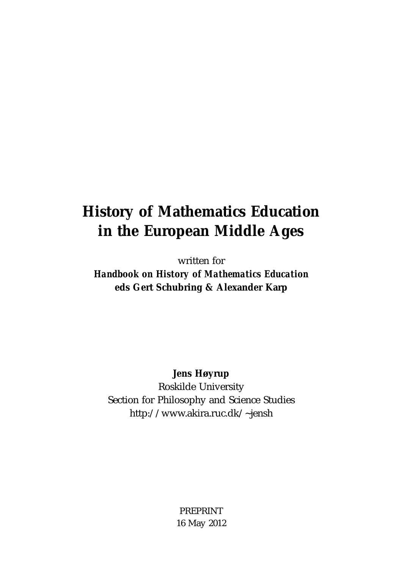# **History of Mathematics Education in the European Middle Ages**

written for

*Handbook on History of Mathematics Education* **eds Gert Schubring & Alexander Karp**

# **Jens Høyrup**

Roskilde University Section for Philosophy and Science Studies http://www.akira.ruc.dk/~jensh

> PREPRINT 16 May 2012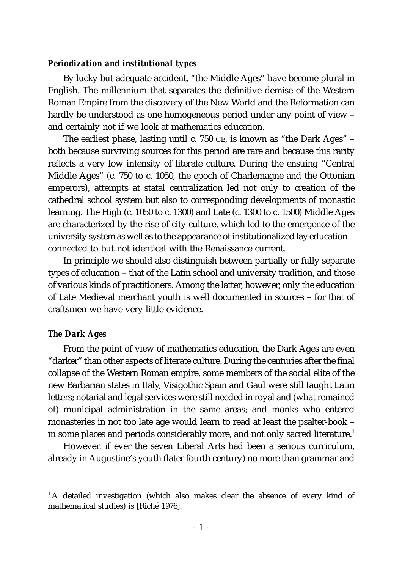#### *Periodization and institutional types*

By lucky but adequate accident, "the Middle Ages" have become plural in English. The millennium that separates the definitive demise of the Western Roman Empire from the discovery of the New World and the Reformation can hardly be understood as one homogeneous period under any point of view and certainly not if we look at mathematics education.

The earliest phase, lasting until c. 750 CE, is known as "the Dark Ages" – both because surviving sources for this period are rare and because this rarity reflects a very low intensity of literate culture. During the ensuing "Central Middle Ages" (c. 750 to c. 1050, the epoch of Charlemagne and the Ottonian emperors), attempts at statal centralization led not only to creation of the cathedral school system but also to corresponding developments of monastic learning. The High (c. 1050 to c. 1300) and Late (c. 1300 to c. 1500) Middle Ages are characterized by the rise of city culture, which led to the emergence of the university system as well as to the appearance of institutionalized lay education – connected to but not identical with the Renaissance current.

In principle we should also distinguish between partially or fully separate types of education – that of the Latin school and university tradition, and those of various kinds of practitioners. Among the latter, however, only the education of Late Medieval merchant youth is well documented in sources – for that of craftsmen we have very little evidence.

#### *The Dark Ages*

From the point of view of mathematics education, the Dark Ages are even "darker" than other aspects of literate culture. During the centuries after the final collapse of the Western Roman empire, some members of the social elite of the new Barbarian states in Italy, Visigothic Spain and Gaul were still taught Latin letters; notarial and legal services were still needed in royal and (what remained of) municipal administration in the same areas; and monks who entered monasteries in not too late age would learn to read at least the psalter-book – in some places and periods considerably more, and not only sacred literature.<sup>1</sup>

However, if ever the seven Liberal Arts had been a serious curriculum, already in Augustine's youth (later fourth century) no more than grammar and

<sup>&</sup>lt;sup>1</sup>A detailed investigation (which also makes clear the absence of every kind of mathematical studies) is [Riché 1976].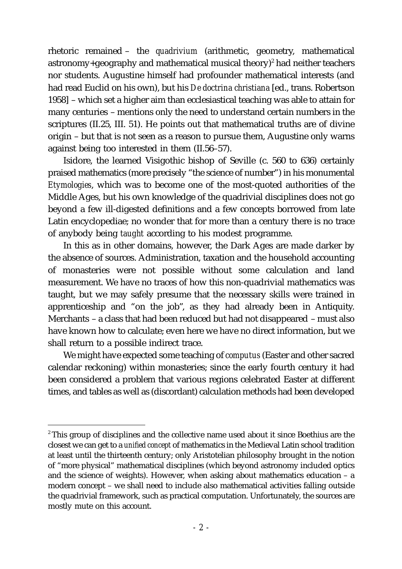rhetoric remained – the *quadrivium* (arithmetic, geometry, mathematical astronomy+geography and mathematical musical theory)<sup>2</sup> had neither teachers nor students. Augustine himself had profounder mathematical interests (and had read Euclid on his own), but his *De doctrina christiana* [ed., trans. Robertson 1958] – which set a higher aim than ecclesiastical teaching was able to attain for many centuries – mentions only the need to understand certain numbers in the scriptures (II.25, III. 51). He points out that mathematical truths are of divine origin – but that is not seen as a reason to pursue them, Augustine only warns against being too interested in them (II.56–57).

Isidore, the learned Visigothic bishop of Seville (c. 560 to 636) certainly praised mathematics (more precisely "the science of number") in his monumental *Etymologies*, which was to become one of the most-quoted authorities of the Middle Ages, but his own knowledge of the quadrivial disciplines does not go beyond a few ill-digested definitions and a few concepts borrowed from late Latin encyclopediae; no wonder that for more than a century there is no trace of anybody being *taught* according to his modest programme.

In this as in other domains, however, the Dark Ages are made darker by the absence of sources. Administration, taxation and the household accounting of monasteries were not possible without some calculation and land measurement. We have no traces of how this non-quadrivial mathematics was taught, but we may safely presume that the necessary skills were trained in apprenticeship and "on the job", as they had already been in Antiquity. Merchants – a class that had been reduced but had not disappeared – must also have known how to calculate; even here we have no direct information, but we shall return to a possible indirect trace.

We might have expected some teaching of *computus* (Easter and other sacred calendar reckoning) within monasteries; since the early fourth century it had been considered a problem that various regions celebrated Easter at different times, and tables as well as (discordant) calculation methods had been developed

 $2$ <sup>2</sup> This group of disciplines and the collective name used about it since Boethius are the closest we can get to a *unified concept* of mathematics in the Medieval Latin school tradition at least until the thirteenth century; only Aristotelian philosophy brought in the notion of "more physical" mathematical disciplines (which beyond astronomy included optics and the science of weights). However, when asking about mathematics education – a modern concept – we shall need to include also mathematical activities falling outside the quadrivial framework, such as practical computation. Unfortunately, the sources are mostly mute on this account.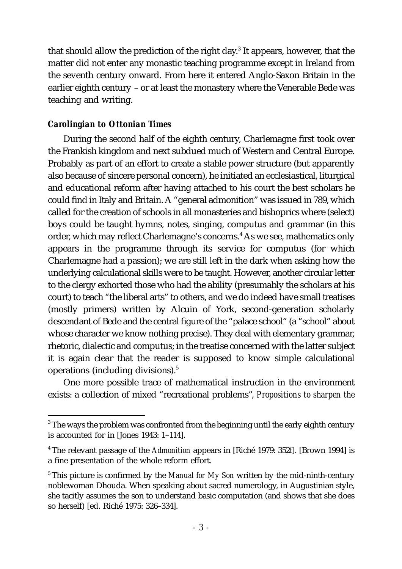that should allow the prediction of the right day. $3$  It appears, however, that the matter did not enter any monastic teaching programme except in Ireland from the seventh century onward. From here it entered Anglo-Saxon Britain in the earlier eighth century – or at least the monastery where the Venerable Bede was teaching and writing.

### *Carolingian to Ottonian Times*

During the second half of the eighth century, Charlemagne first took over the Frankish kingdom and next subdued much of Western and Central Europe. Probably as part of an effort to create a stable power structure (but apparently also because of sincere personal concern), he initiated an ecclesiastical, liturgical and educational reform after having attached to his court the best scholars he could find in Italy and Britain. A "general admonition" was issued in 789, which called for the creation of schools in all monasteries and bishoprics where (select) boys could be taught hymns, notes, singing, computus and grammar (in this order, which may reflect Charlemagne's concerns.<sup>4</sup> As we see, mathematics only appears in the programme through its service for computus (for which Charlemagne had a passion); we are still left in the dark when asking how the underlying calculational skills were to be taught. However, another circular letter to the clergy exhorted those who had the ability (presumably the scholars at his court) to teach "the liberal arts" to others, and we do indeed have small treatises (mostly primers) written by Alcuin of York, second-generation scholarly descendant of Bede and the central figure of the "palace school" (a "school" about whose character we know nothing precise). They deal with elementary grammar, rhetoric, dialectic and computus; in the treatise concerned with the latter subject it is again clear that the reader is supposed to know simple calculational operations (including divisions).<sup>5</sup>

One more possible trace of mathematical instruction in the environment exists: a collection of mixed "recreational problems", *Propositions to sharpen the*

 $3$  The ways the problem was confronted from the beginning until the early eighth century is accounted for in [Jones 1943: 1–114].

<sup>4</sup> The relevant passage of the *Admonition* appears in [Riché 1979: 352*f*]. [Brown 1994] is a fine presentation of the whole reform effort.

<sup>5</sup> This picture is confirmed by the *Manual for My Son* written by the mid-ninth-century noblewoman Dhouda. When speaking about sacred numerology, in Augustinian style, she tacitly assumes the son to understand basic computation (and shows that she does so herself) [ed. Riché 1975: 326–334].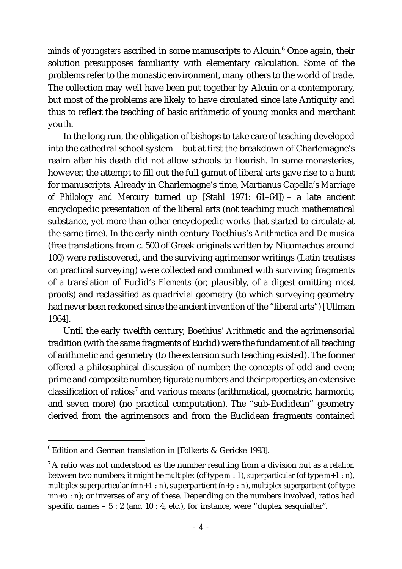*minds of youngsters* ascribed in some manuscripts to Alcuin.<sup>6</sup> Once again, their solution presupposes familiarity with elementary calculation. Some of the problems refer to the monastic environment, many others to the world of trade. The collection may well have been put together by Alcuin or a contemporary, but most of the problems are likely to have circulated since late Antiquity and thus to reflect the teaching of basic arithmetic of young monks and merchant youth.

In the long run, the obligation of bishops to take care of teaching developed into the cathedral school system – but at first the breakdown of Charlemagne's realm after his death did not allow schools to flourish. In some monasteries, however, the attempt to fill out the full gamut of liberal arts gave rise to a hunt for manuscripts. Already in Charlemagne's time, Martianus Capella's *Marriage of Philology and Mercury* turned up [Stahl 1971: 61–64]) – a late ancient encyclopedic presentation of the liberal arts (not teaching much mathematical substance, yet more than other encyclopedic works that started to circulate at the same time). In the early ninth century Boethius's *Arithmetica* and *De musica* (free translations from c. 500 of Greek originals written by Nicomachos around 100) were rediscovered, and the surviving agrimensor writings (Latin treatises on practical surveying) were collected and combined with surviving fragments of a translation of Euclid's *Elements* (or, plausibly, of a digest omitting most proofs) and reclassified as quadrivial geometry (to which surveying geometry had never been reckoned since the ancient invention of the "liberal arts") [Ullman 1964].

Until the early twelfth century, Boethius' *Arithmetic* and the agrimensorial tradition (with the same fragments of Euclid) were the fundament of all teaching of arithmetic and geometry (to the extension such teaching existed). The former offered a philosophical discussion of number; the concepts of odd and even; prime and composite number; figurate numbers and their properties; an extensive  $classification of ratios;<sup>7</sup> and various means (arithmetical, geometric, harmonic,$ and seven more) (no practical computation). The "sub-Euclidean" geometry derived from the agrimensors and from the Euclidean fragments contained

<sup>6</sup> Edition and German translation in [Folkerts & Gericke 1993].

<sup>7</sup> A ratio was not understood as the number resulting from a division but as a *relation* between two numbers; it might be *multiplex* (of type *m* : *1*), *superparticular* (of type *m*+1 : *n*), *multiplex superparticular* (*mn*+1 : *n*), superpartient (*n*+*p* : *n*), *multiplex superpartient* (of type *mn*+*p* : *n*); or inverses of any of these. Depending on the numbers involved, ratios had specific names  $-5:2$  (and  $10:4$ , etc.), for instance, were "duplex sesquialter".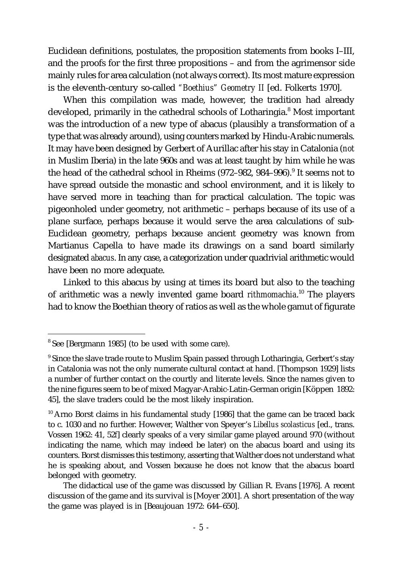Euclidean definitions, postulates, the proposition statements from books I–III, and the proofs for the first three propositions – and from the agrimensor side mainly rules for area calculation (not always correct). Its most mature expression is the eleventh-century so-called *"Boethius" Geometry II* [ed. Folkerts 1970].

When this compilation was made, however, the tradition had already developed, primarily in the cathedral schools of Lotharingia.<sup>8</sup> Most important was the introduction of a new type of abacus (plausibly a transformation of a type that was already around), using counters marked by Hindu-Arabic numerals. It may have been designed by Gerbert of Aurillac after his stay in Catalonia (*not* in Muslim Iberia) in the late 960s and was at least taught by him while he was the head of the cathedral school in Rheims (972–982, 984–996).<sup>9</sup> It seems not to have spread outside the monastic and school environment, and it is likely to have served more in teaching than for practical calculation. The topic was pigeonholed under geometry, not arithmetic – perhaps because of its use of a plane surface, perhaps because it would serve the area calculations of sub-Euclidean geometry, perhaps because ancient geometry was known from Martianus Capella to have made its drawings on a sand board similarly designated *abacus*. In any case, a categorization under quadrivial arithmetic would have been no more adequate.

Linked to this abacus by using at times its board but also to the teaching of arithmetic was a newly invented game board *rithmomachia*. <sup>10</sup> The players had to know the Boethian theory of ratios as well as the whole gamut of figurate

<sup>8</sup> See [Bergmann 1985] (to be used with some care).

<sup>&</sup>lt;sup>9</sup> Since the slave trade route to Muslim Spain passed through Lotharingia, Gerbert's stay in Catalonia was not the only numerate cultural contact at hand. [Thompson 1929] lists a number of further contact on the courtly and literate levels. Since the names given to the nine figures seem to be of mixed Magyar-Arabic-Latin-German origin [Köppen 1892: 45], the slave traders could be the most likely inspiration.

 $10$  Arno Borst claims in his fundamental study [1986] that the game can be traced back to c. 1030 and no further. However, Walther von Speyer's *Libellus scolasticus* [ed., trans. Vossen 1962: 41, 52*f*] clearly speaks of a very similar game played around 970 (without indicating the name, which may indeed be later) on the abacus board and using its counters. Borst dismisses this testimony, asserting that Walther does not understand what he is speaking about, and Vossen because he does not know that the abacus board belonged with geometry.

The didactical use of the game was discussed by Gillian R. Evans [1976]. A recent discussion of the game and its survival is [Moyer 2001]. A short presentation of the way the game was played is in [Beaujouan 1972: 644–650].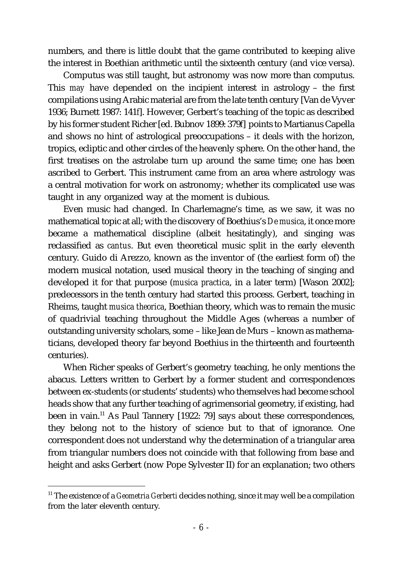numbers, and there is little doubt that the game contributed to keeping alive the interest in Boethian arithmetic until the sixteenth century (and vice versa).

Computus was still taught, but astronomy was now more than computus. This *may* have depended on the incipient interest in astrology – the first compilations using Arabic material are from the late tenth century [Van de Vyver 1936; Burnett 1987: 141*f*]. However, Gerbert's teaching of the topic as described by his former student Richer [ed. Bubnov 1899: 379*f*] points to Martianus Capella and shows no hint of astrological preoccupations – it deals with the horizon, tropics, ecliptic and other circles of the heavenly sphere. On the other hand, the first treatises on the astrolabe turn up around the same time; one has been ascribed to Gerbert. This instrument came from an area where astrology was a central motivation for work on astronomy; whether its complicated use was taught in any organized way at the moment is dubious.

Even music had changed. In Charlemagne's time, as we saw, it was no mathematical topic at all; with the discovery of Boethius's *De musica*, it once more became a mathematical discipline (albeit hesitatingly), and singing was reclassified as *cantus*. But even theoretical music split in the early eleventh century. Guido di Arezzo, known as the inventor of (the earliest form of) the modern musical notation, used musical theory in the teaching of singing and developed it for that purpose (*musica practica*, in a later term) [Wason 2002]; predecessors in the tenth century had started this process. Gerbert, teaching in Rheims, taught *musica theorica*, Boethian theory, which was to remain the music of quadrivial teaching throughout the Middle Ages (whereas a number of outstanding university scholars, some – like Jean de Murs – known as mathematicians, developed theory far beyond Boethius in the thirteenth and fourteenth centuries).

When Richer speaks of Gerbert's geometry teaching, he only mentions the abacus. Letters written to Gerbert by a former student and correspondences between ex-students (or students' students) who themselves had become school heads show that any further teaching of agrimensorial geometry, if existing, had been in vain.<sup>11</sup> As Paul Tannery [1922: 79] says about these correspondences, they belong not to the history of science but to that of ignorance. One correspondent does not understand why the determination of a triangular area from triangular numbers does not coincide with that following from base and height and asks Gerbert (now Pope Sylvester II) for an explanation; two others

<sup>&</sup>lt;sup>11</sup> The existence of a *Geometria Gerberti* decides nothing, since it may well be a compilation from the later eleventh century.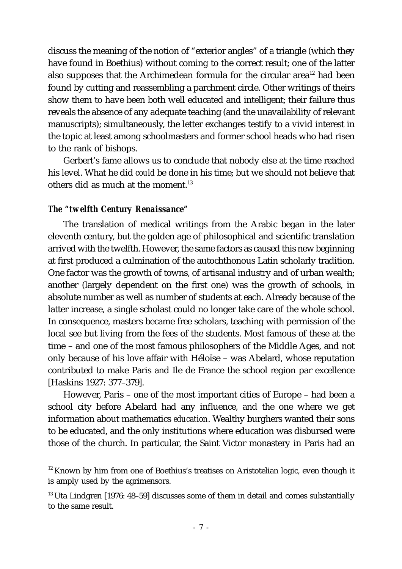discuss the meaning of the notion of "exterior angles" of a triangle (which they have found in Boethius) without coming to the correct result; one of the latter also supposes that the Archimedean formula for the circular area<sup>12</sup> had been found by cutting and reassembling a parchment circle. Other writings of theirs show them to have been both well educated and intelligent; their failure thus reveals the absence of any adequate teaching (and the unavailability of relevant manuscripts); simultaneously, the letter exchanges testify to a vivid interest in the topic at least among schoolmasters and former school heads who had risen to the rank of bishops.

Gerbert's fame allows us to conclude that nobody else at the time reached his level. What he did *could* be done in his time; but we should not believe that others did as much at the moment. $^{13}$ 

#### *The "twelfth Century Renaissance"*

The translation of medical writings from the Arabic began in the later eleventh century, but the golden age of philosophical and scientific translation arrived with the twelfth. However, the same factors as caused this new beginning at first produced a culmination of the autochthonous Latin scholarly tradition. One factor was the growth of towns, of artisanal industry and of urban wealth; another (largely dependent on the first one) was the growth of schools, in absolute number as well as number of students at each. Already because of the latter increase, a single scholast could no longer take care of the whole school. In consequence, masters became free scholars, teaching with permission of the local see but living from the fees of the students. Most famous of these at the time – and one of the most famous philosophers of the Middle Ages, and not only because of his love affair with Héloïse – was Abelard, whose reputation contributed to make Paris and Ile de France the school region par excellence [Haskins 1927: 377–379].

However, Paris – one of the most important cities of Europe – had been a school city before Abelard had any influence, and the one where we get information about mathematics *education*. Wealthy burghers wanted their sons to be educated, and the only institutions where education was disbursed were those of the church. In particular, the Saint Victor monastery in Paris had an

 $12$  Known by him from one of Boethius's treatises on Aristotelian logic, even though it is amply used by the agrimensors.

<sup>&</sup>lt;sup>13</sup> Uta Lindgren [1976: 48–59] discusses some of them in detail and comes substantially to the same result.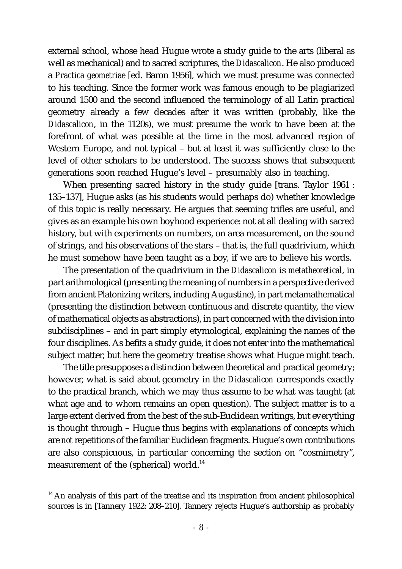external school, whose head Hugue wrote a study guide to the arts (liberal as well as mechanical) and to sacred scriptures, the *Didascalicon*. He also produced a *Practica geometriae* [ed. Baron 1956], which we must presume was connected to his teaching. Since the former work was famous enough to be plagiarized around 1500 and the second influenced the terminology of all Latin practical geometry already a few decades after it was written (probably, like the *Didascalicon*, in the 1120s), we must presume the work to have been at the forefront of what was possible at the time in the most advanced region of Western Europe, and not typical – but at least it was sufficiently close to the level of other scholars to be understood. The success shows that subsequent generations soon reached Hugue's level – presumably also in teaching.

When presenting sacred history in the study guide [trans. Taylor 1961 : 135–137], Hugue asks (as his students would perhaps do) whether knowledge of this topic is really necessary. He argues that seeming trifles are useful, and gives as an example his own boyhood experience: not at all dealing with sacred history, but with experiments on numbers, on area measurement, on the sound of strings, and his observations of the stars – that is, the full quadrivium, which he must somehow have been taught as a boy, if we are to believe his words.

The presentation of the quadrivium in the *Didascalicon* is *metatheoretical*, in part arithmological (presenting the meaning of numbers in a perspective derived from ancient Platonizing writers, including Augustine), in part metamathematical (presenting the distinction between continuous and discrete quantity, the view of mathematical objects as abstractions), in part concerned with the division into subdisciplines – and in part simply etymological, explaining the names of the four disciplines. As befits a study guide, it does not enter into the mathematical subject matter, but here the geometry treatise shows what Hugue might teach.

The title presupposes a distinction between theoretical and practical geometry; however, what is said about geometry in the *Didascalicon* corresponds exactly to the practical branch, which we may thus assume to be what was taught (at what age and to whom remains an open question). The subject matter is to a large extent derived from the best of the sub-Euclidean writings, but everything is thought through – Hugue thus begins with explanations of concepts which are *not* repetitions of the familiar Euclidean fragments. Hugue's own contributions are also conspicuous, in particular concerning the section on "cosmimetry", measurement of the (spherical) world.<sup>14</sup>

 $14$  An analysis of this part of the treatise and its inspiration from ancient philosophical sources is in [Tannery 1922: 208–210]. Tannery rejects Hugue's authorship as probably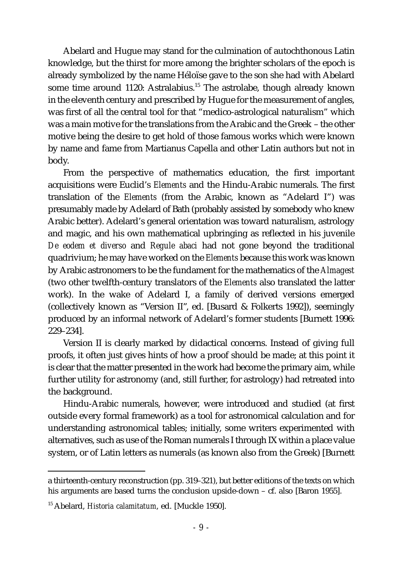Abelard and Hugue may stand for the culmination of autochthonous Latin knowledge, but the thirst for more among the brighter scholars of the epoch is already symbolized by the name Héloïse gave to the son she had with Abelard some time around 1120: Astralabius.<sup>15</sup> The astrolabe, though already known in the eleventh century and prescribed by Hugue for the measurement of angles, was first of all the central tool for that "medico-astrological naturalism" which was a main motive for the translations from the Arabic and the Greek – the other motive being the desire to get hold of those famous works which were known by name and fame from Martianus Capella and other Latin authors but not in body.

From the perspective of mathematics education, the first important acquisitions were Euclid's *Elements* and the Hindu-Arabic numerals. The first translation of the *Elements* (from the Arabic, known as "Adelard I") was presumably made by Adelard of Bath (probably assisted by somebody who knew Arabic better). Adelard's general orientation was toward naturalism, astrology and magic, and his own mathematical upbringing as reflected in his juvenile *De eodem et diverso* and *Regule abaci* had not gone beyond the traditional quadrivium; he may have worked on the *Elements* because this work was known by Arabic astronomers to be the fundament for the mathematics of the *Almagest* (two other twelfth-century translators of the *Elements* also translated the latter work). In the wake of Adelard I, a family of derived versions emerged (collectively known as "Version II", ed. [Busard & Folkerts 1992]), seemingly produced by an informal network of Adelard's former students [Burnett 1996: 229–234].

Version II is clearly marked by didactical concerns. Instead of giving full proofs, it often just gives hints of how a proof should be made; at this point it is clear that the matter presented in the work had become the primary aim, while further utility for astronomy (and, still further, for astrology) had retreated into the background.

Hindu-Arabic numerals, however, were introduced and studied (at first outside every formal framework) as a tool for astronomical calculation and for understanding astronomical tables; initially, some writers experimented with alternatives, such as use of the Roman numerals I through IX within a place value system, or of Latin letters as numerals (as known also from the Greek) [Burnett

a thirteenth-century reconstruction (pp. 319–321), but better editions of the texts on which his arguments are based turns the conclusion upside-down – cf. also [Baron 1955].

<sup>15</sup> Abelard, *Historia calamitatum*, ed. [Muckle 1950].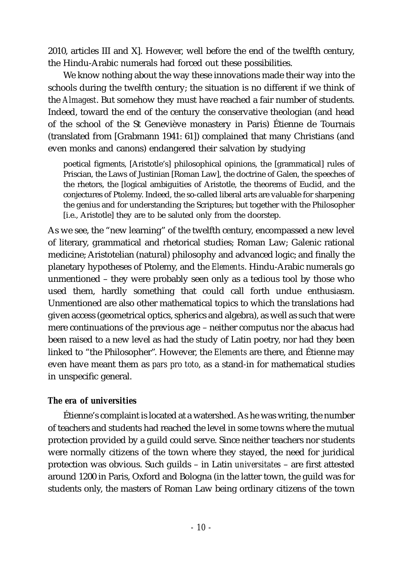2010, articles III and X]. However, well before the end of the twelfth century, the Hindu-Arabic numerals had forced out these possibilities.

We know nothing about the way these innovations made their way into the schools during the twelfth century; the situation is no different if we think of the *Almagest*. But somehow they must have reached a fair number of students. Indeed, toward the end of the century the conservative theologian (and head of the school of the St Geneviève monastery in Paris) Étienne de Tournais (translated from [Grabmann 1941: 61]) complained that many Christians (and even monks and canons) endangered their salvation by studying

poetical figments, [Aristotle's] philosophical opinions, the [grammatical] rules of Priscian, the Laws of Justinian [Roman Law], the doctrine of Galen, the speeches of the rhetors, the [logical ambiguities of Aristotle, the theorems of Euclid, and the conjectures of Ptolemy. Indeed, the so-called liberal arts are valuable for sharpening the genius and for understanding the Scriptures; but together with the Philosopher [i.e., Aristotle] they are to be saluted only from the doorstep.

As we see, the "new learning" of the twelfth century, encompassed a new level of literary, grammatical and rhetorical studies; Roman Law; Galenic rational medicine; Aristotelian (natural) philosophy and advanced logic; and finally the planetary hypotheses of Ptolemy, and the *Elements*. Hindu-Arabic numerals go unmentioned – they were probably seen only as a tedious tool by those who used them, hardly something that could call forth undue enthusiasm. Unmentioned are also other mathematical topics to which the translations had given access (geometrical optics, spherics and algebra), as well as such that were mere continuations of the previous age – neither computus nor the abacus had been raised to a new level as had the study of Latin poetry, nor had they been linked to "the Philosopher". However, the *Elements* are there, and Étienne may even have meant them as *pars pro toto*, as a stand-in for mathematical studies in unspecific general.

## *The era of universities*

Étienne's complaint is located at a watershed. As he was writing, the number of teachers and students had reached the level in some towns where the mutual protection provided by a guild could serve. Since neither teachers nor students were normally citizens of the town where they stayed, the need for juridical protection was obvious. Such guilds – in Latin *universitates* – are first attested around 1200 in Paris, Oxford and Bologna (in the latter town, the guild was for students only, the masters of Roman Law being ordinary citizens of the town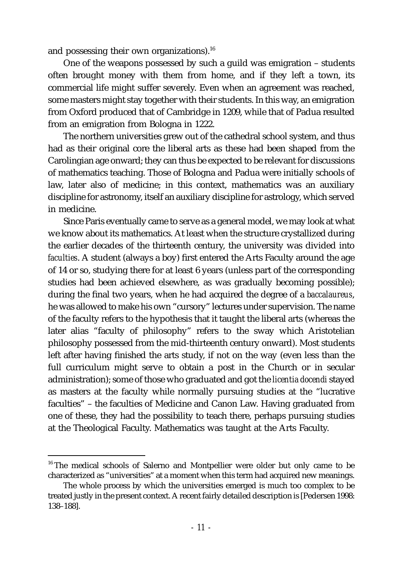and possessing their own organizations).<sup>16</sup>

One of the weapons possessed by such a guild was emigration – students often brought money with them from home, and if they left a town, its commercial life might suffer severely. Even when an agreement was reached, some masters might stay together with their students. In this way, an emigration from Oxford produced that of Cambridge in 1209, while that of Padua resulted from an emigration from Bologna in 1222.

The northern universities grew out of the cathedral school system, and thus had as their original core the liberal arts as these had been shaped from the Carolingian age onward; they can thus be expected to be relevant for discussions of mathematics teaching. Those of Bologna and Padua were initially schools of law, later also of medicine; in this context, mathematics was an auxiliary discipline for astronomy, itself an auxiliary discipline for astrology, which served in medicine.

Since Paris eventually came to serve as a general model, we may look at what we know about its mathematics. At least when the structure crystallized during the earlier decades of the thirteenth century, the university was divided into *faculties*. A student (always a boy) first entered the Arts Faculty around the age of 14 or so, studying there for at least 6 years (unless part of the corresponding studies had been achieved elsewhere, as was gradually becoming possible); during the final two years, when he had acquired the degree of a *baccalaureus*, he was allowed to make his own "cursory" lectures under supervision. The name of the faculty refers to the hypothesis that it taught the liberal arts (whereas the later alias "faculty of philosophy" refers to the sway which Aristotelian philosophy possessed from the mid-thirteenth century onward). Most students left after having finished the arts study, if not on the way (even less than the full curriculum might serve to obtain a post in the Church or in secular administration); some of those who graduated and got the *licentia docendi* stayed as masters at the faculty while normally pursuing studies at the "lucrative faculties" – the faculties of Medicine and Canon Law. Having graduated from one of these, they had the possibility to teach there, perhaps pursuing studies at the Theological Faculty. Mathematics was taught at the Arts Faculty.

<sup>&</sup>lt;sup>16</sup> The medical schools of Salerno and Montpellier were older but only came to be characterized as "universities" at a moment when this term had acquired new meanings.

The whole process by which the universities emerged is much too complex to be treated justly in the present context. A recent fairly detailed description is [Pedersen 1998: 138–188].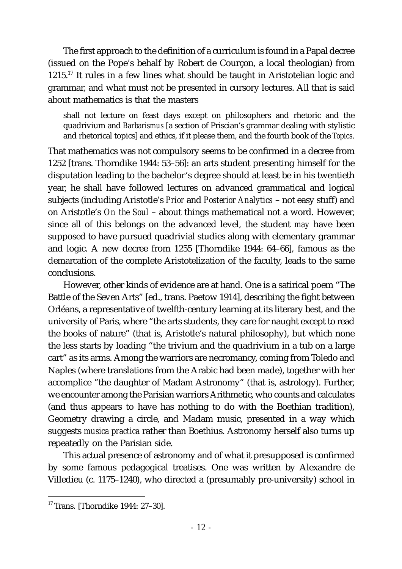The first approach to the definition of a curriculum is found in a Papal decree (issued on the Pope's behalf by Robert de Courçon, a local theologian) from 1215.<sup>17</sup> It rules in a few lines what should be taught in Aristotelian logic and grammar, and what must not be presented in cursory lectures. All that is said about mathematics is that the masters

shall not lecture on feast days except on philosophers and rhetoric and the quadrivium and *Barbarismus* [a section of Priscian's grammar dealing with stylistic and rhetorical topics] and ethics, if it please them, and the fourth book of the *Topics*.

That mathematics was not compulsory seems to be confirmed in a decree from 1252 [trans. Thorndike 1944: 53–56]: an arts student presenting himself for the disputation leading to the bachelor's degree should at least be in his twentieth year, he shall have followed lectures on advanced grammatical and logical subjects (including Aristotle's *Prior* and *Posterior Analytics* – not easy stuff) and on Aristotle's *On the Soul* – about things mathematical not a word. However, since all of this belongs on the advanced level, the student *may* have been supposed to have pursued quadrivial studies along with elementary grammar and logic. A new decree from 1255 [Thorndike 1944: 64–66], famous as the demarcation of the complete Aristotelization of the faculty, leads to the same conclusions.

However, other kinds of evidence are at hand. One is a satirical poem "The Battle of the Seven Arts" [ed., trans. Paetow 1914], describing the fight between Orléans, a representative of twelfth-century learning at its literary best, and the university of Paris, where "the arts students, they care for naught except to read the books of nature" (that is, Aristotle's natural philosophy), but which none the less starts by loading "the trivium and the quadrivium in a tub on a large cart" as its arms. Among the warriors are necromancy, coming from Toledo and Naples (where translations from the Arabic had been made), together with her accomplice "the daughter of Madam Astronomy" (that is, astrology). Further, we encounter among the Parisian warriors Arithmetic, who counts and calculates (and thus appears to have has nothing to do with the Boethian tradition), Geometry drawing a circle, and Madam music, presented in a way which suggests *musica practica* rather than Boethius. Astronomy herself also turns up repeatedly on the Parisian side.

This actual presence of astronomy and of what it presupposed is confirmed by some famous pedagogical treatises. One was written by Alexandre de Villedieu (c. 1175–1240), who directed a (presumably pre-university) school in

<sup>17</sup> Trans. [Thorndike 1944: 27–30].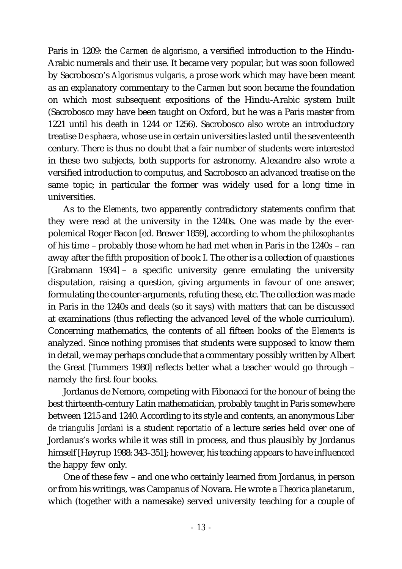Paris in 1209: the *Carmen de algorismo*, a versified introduction to the Hindu-Arabic numerals and their use. It became very popular, but was soon followed by Sacrobosco's *Algorismus vulgaris*, a prose work which may have been meant as an explanatory commentary to the *Carmen* but soon became the foundation on which most subsequent expositions of the Hindu-Arabic system built (Sacrobosco may have been taught on Oxford, but he was a Paris master from 1221 until his death in 1244 or 1256). Sacrobosco also wrote an introductory treatise *De sphaera*, whose use in certain universities lasted until the seventeenth century. There is thus no doubt that a fair number of students were interested in these two subjects, both supports for astronomy. Alexandre also wrote a versified introduction to computus, and Sacrobosco an advanced treatise on the same topic; in particular the former was widely used for a long time in universities.

As to the *Elements*, two apparently contradictory statements confirm that they were read at the university in the 1240s. One was made by the everpolemical Roger Bacon [ed. Brewer 1859], according to whom the *philosophantes* of his time – probably those whom he had met when in Paris in the 1240s – ran away after the fifth proposition of book I. The other is a collection of *quaestiones* [Grabmann 1934] – a specific university genre emulating the university disputation, raising a question, giving arguments in favour of one answer, formulating the counter-arguments, refuting these, etc. The collection was made in Paris in the 1240s and deals (so it says) with matters that can be discussed at examinations (thus reflecting the advanced level of the whole curriculum). Concerning mathematics, the contents of all fifteen books of the *Elements* is analyzed. Since nothing promises that students were supposed to know them in detail, we may perhaps conclude that a commentary possibly written by Albert the Great [Tummers 1980] reflects better what a teacher would go through – namely the first four books.

Jordanus de Nemore, competing with Fibonacci for the honour of being the best thirteenth-century Latin mathematician, probably taught in Paris somewhere between 1215 and 1240. According to its style and contents, an anonymous *Liber de triangulis Jordani* is a student *reportatio* of a lecture series held over one of Jordanus's works while it was still in process, and thus plausibly by Jordanus himself [Høyrup 1988: 343–351]; however, his teaching appears to have influenced the happy few only.

One of these few – and one who certainly learned from Jordanus, in person or from his writings, was Campanus of Novara. He wrote a *Theorica planetarum*, which (together with a namesake) served university teaching for a couple of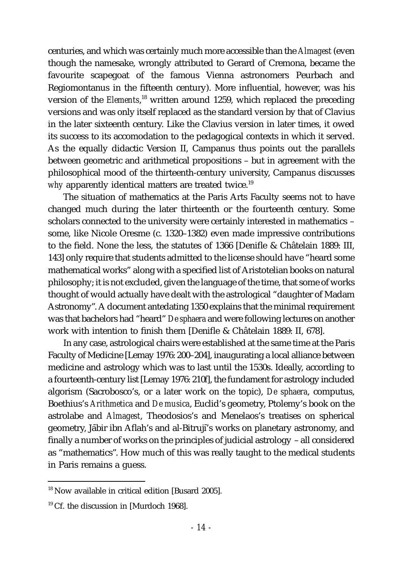centuries, and which was certainly much more accessible than the *Almagest* (even though the namesake, wrongly attributed to Gerard of Cremona, became the favourite scapegoat of the famous Vienna astronomers Peurbach and Regiomontanus in the fifteenth century). More influential, however, was his version of the *Elements*, <sup>18</sup> written around 1259, which replaced the preceding versions and was only itself replaced as the standard version by that of Clavius in the later sixteenth century. Like the Clavius version in later times, it owed its success to its accomodation to the pedagogical contexts in which it served. As the equally didactic Version II, Campanus thus points out the parallels between geometric and arithmetical propositions – but in agreement with the philosophical mood of the thirteenth-century university, Campanus discusses *why* apparently identical matters are treated twice.<sup>19</sup>

The situation of mathematics at the Paris Arts Faculty seems not to have changed much during the later thirteenth or the fourteenth century. Some scholars connected to the university were certainly interested in mathematics – some, like Nicole Oresme (c. 1320–1382) even made impressive contributions to the field. None the less, the statutes of 1366 [Denifle & Châtelain 1889: III, 143] only require that students admitted to the license should have "heard some mathematical works" along with a specified list of Aristotelian books on natural philosophy; it is not excluded, given the language of the time, that some of works thought of would actually have dealt with the astrological "daughter of Madam Astronomy". A document antedating 1350 explains that the minimal requirement was that bachelors had "heard" *De sphaera* and were following lectures on another work with intention to finish them [Denifle & Châtelain 1889: II, 678].

In any case, astrological chairs were established at the same time at the Paris Faculty of Medicine [Lemay 1976: 200–204], inaugurating a local alliance between medicine and astrology which was to last until the 1530s. Ideally, according to a fourteenth-century list [Lemay 1976: 210*f*], the fundament for astrology included algorism (Sacrobosco's, or a later work on the topic), *De sphaera*, computus, Boethius's *Arithmetica* and *De musica*, Euclid's geometry, Ptolemy's book on the astrolabe and *Almagest*, Theodosios's and Menelaos's treatises on spherical geometry, Jābir ibn Aflah's and al-Bitrujī's works on planetary astronomy, and finally a number of works on the principles of judicial astrology – all considered as "mathematics". How much of this was really taught to the medical students in Paris remains a guess.

<sup>&</sup>lt;sup>18</sup> Now available in critical edition [Busard 2005].

<sup>&</sup>lt;sup>19</sup> Cf. the discussion in [Murdoch 1968].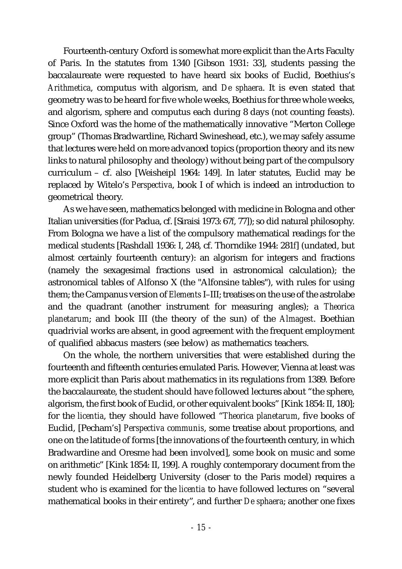Fourteenth-century Oxford is somewhat more explicit than the Arts Faculty of Paris. In the statutes from 1340 [Gibson 1931: 33], students passing the baccalaureate were requested to have heard six books of Euclid, Boethius's *Arithmetica*, computus with algorism, and *De sphaera*. It is even stated that geometry was to be heard for five whole weeks, Boethius for three whole weeks, and algorism, sphere and computus each during 8 days (not counting feasts). Since Oxford was the home of the mathematically innovative "Merton College group" (Thomas Bradwardine, Richard Swineshead, etc.), we may safely assume that lectures were held on more advanced topics (proportion theory and its new links to natural philosophy and theology) without being part of the compulsory curriculum – cf. also [Weisheipl 1964: 149]. In later statutes, Euclid may be replaced by Witelo's *Perspectiva*, book I of which is indeed an introduction to geometrical theory.

As we have seen, mathematics belonged with medicine in Bologna and other Italian universities (for Padua, cf. [Siraisi 1973: 67*f*, 77]); so did natural philosophy. From Bologna we have a list of the compulsory mathematical readings for the medical students [Rashdall 1936: I, 248, cf. Thorndike 1944: 281*f*] (undated, but almost certainly fourteenth century): an algorism for integers and fractions (namely the sexagesimal fractions used in astronomical calculation); the astronomical tables of Alfonso X (the "Alfonsine tables"), with rules for using them; the Campanus version of *Elements*I–III; treatises on the use of the astrolabe and the quadrant (another instrument for measuring angles); a *Theorica planetarum*; and book III (the theory of the sun) of the *Almagest*. Boethian quadrivial works are absent, in good agreement with the frequent employment of qualified abbacus masters (see below) as mathematics teachers.

On the whole, the northern universities that were established during the fourteenth and fifteenth centuries emulated Paris. However, Vienna at least was more explicit than Paris about mathematics in its regulations from 1389. Before the baccalaureate, the student should have followed lectures about "the sphere, algorism, the first book of Euclid, or other equivalent books" [Kink 1854: II, 180]; for the *licentia*, they should have followed "*Theorica planetarum*, five books of Euclid, [Pecham's] *Perspectiva communis*, some treatise about proportions, and one on the latitude of forms [the innovations of the fourteenth century, in which Bradwardine and Oresme had been involved], some book on music and some on arithmetic" [Kink 1854: II, 199]. A roughly contemporary document from the newly founded Heidelberg University (closer to the Paris model) requires a student who is examined for the *licentia* to have followed lectures on "several mathematical books in their entirety", and further *De sphaera*; another one fixes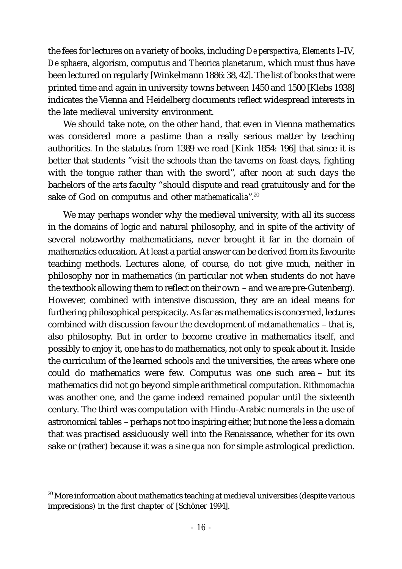the fees for lectures on a variety of books, including *De perspectiva*, *Elements* I–IV, *De sphaera*, algorism, computus and *Theorica planetarum*, which must thus have been lectured on regularly [Winkelmann 1886: 38, 42]. The list of books that were printed time and again in university towns between 1450 and 1500 [Klebs 1938] indicates the Vienna and Heidelberg documents reflect widespread interests in the late medieval university environment.

We should take note, on the other hand, that even in Vienna mathematics was considered more a pastime than a really serious matter by teaching authorities. In the statutes from 1389 we read [Kink 1854: 196] that since it is better that students "visit the schools than the taverns on feast days, fighting with the tongue rather than with the sword", after noon at such days the bachelors of the arts faculty "should dispute and read gratuitously and for the sake of God on computus and other *mathematicalia*".<sup>20</sup>

We may perhaps wonder why the medieval university, with all its success in the domains of logic and natural philosophy, and in spite of the activity of several noteworthy mathematicians, never brought it far in the domain of mathematics education. At least a partial answer can be derived from its favourite teaching methods. Lectures alone, of course, do not give much, neither in philosophy nor in mathematics (in particular not when students do not have the textbook allowing them to reflect on their own – and we are pre-Gutenberg). However, combined with intensive discussion, they are an ideal means for furthering philosophical perspicacity. As far as mathematics is concerned, lectures combined with discussion favour the development of *metamathematics* – that is, also philosophy. But in order to become creative in mathematics itself, and possibly to enjoy it, one has to *do* mathematics, not only to speak about it. Inside the curriculum of the learned schools and the universities, the areas where one could do mathematics were few. Computus was one such area – but its mathematics did not go beyond simple arithmetical computation. *Rithmomachia* was another one, and the game indeed remained popular until the sixteenth century. The third was computation with Hindu-Arabic numerals in the use of astronomical tables – perhaps not too inspiring either, but none the less a domain that was practised assiduously well into the Renaissance, whether for its own sake or (rather) because it was a *sine qua non* for simple astrological prediction.

 $20$  More information about mathematics teaching at medieval universities (despite various imprecisions) in the first chapter of [Schöner 1994].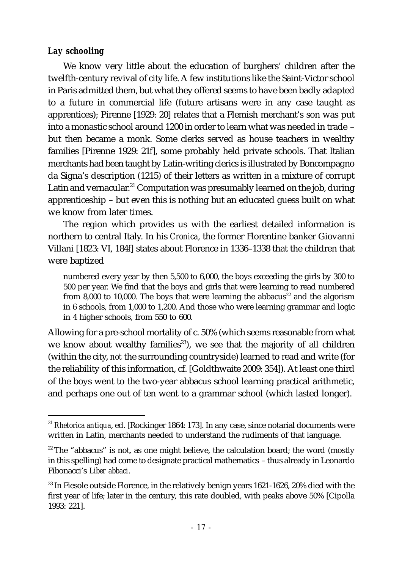# *Lay schooling*

We know very little about the education of burghers' children after the twelfth-century revival of city life. A few institutions like the Saint-Victor school in Paris admitted them, but what they offered seems to have been badly adapted to a future in commercial life (future artisans were in any case taught as apprentices); Pirenne [1929: 20] relates that a Flemish merchant's son was put into a monastic school around 1200 in order to learn what was needed in trade – but then became a monk. Some clerks served as house teachers in wealthy families [Pirenne 1929: 21*f*], some probably held private schools. That Italian merchants had been taught by Latin-writing clerics is illustrated by Boncompagno da Signa's description (1215) of their letters as written in a mixture of corrupt Latin and vernacular.<sup>21</sup> Computation was presumably learned on the job, during apprenticeship – but even this is nothing but an educated guess built on what we know from later times.

The region which provides us with the earliest detailed information is northern to central Italy. In his *Cronica*, the former Florentine banker Giovanni Villani [1823: VI, 184*f*] states about Florence in 1336–1338 that the children that were baptized

numbered every year by then 5,500 to 6,000, the boys exceeding the girls by 300 to 500 per year. We find that the boys and girls that were learning to read numbered from 8,000 to 10,000. The boys that were learning the abbacus<sup>22</sup> and the algorism in 6 schools, from 1,000 to 1,200. And those who were learning grammar and logic in 4 higher schools, from 550 to 600.

Allowing for a pre-school mortality of c. 50% (which seems reasonable from what we know about wealthy families<sup>23</sup>), we see that the majority of all children (within the city, *not* the surrounding countryside) learned to read and write (for the reliability of this information, cf. [Goldthwaite 2009: 354]). At least one third of the boys went to the two-year abbacus school learning practical arithmetic, and perhaps one out of ten went to a grammar school (which lasted longer).

<sup>21</sup> *Rhetorica antiqua*, ed. [Rockinger 1864: 173]. In any case, since notarial documents were written in Latin, merchants needed to understand the rudiments of that language.

 $22$ <sup>22</sup> The "abbacus" is not, as one might believe, the calculation board; the word (mostly in this spelling) had come to designate practical mathematics – thus already in Leonardo Fibonacci's *Liber abbaci*.

<sup>&</sup>lt;sup>23</sup> In Fiesole outside Florence, in the relatively benign years 1621-1626, 20% died with the first year of life; later in the century, this rate doubled, with peaks above 50% [Cipolla 1993: 221].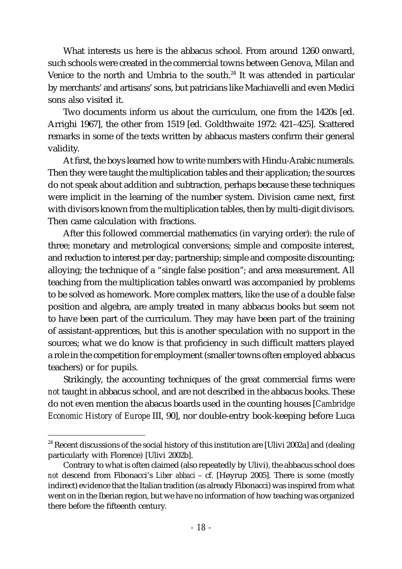What interests us here is the abbacus school. From around 1260 onward, such schools were created in the commercial towns between Genova, Milan and Venice to the north and Umbria to the south.<sup>24</sup> It was attended in particular by merchants' and artisans' sons, but patricians like Machiavelli and even Medici sons also visited it.

Two documents inform us about the curriculum, one from the 1420s [ed. Arrighi 1967], the other from 1519 [ed. Goldthwaite 1972: 421–425]. Scattered remarks in some of the texts written by abbacus masters confirm their general validity.

At first, the boys learned how to write numbers with Hindu-Arabic numerals. Then they were taught the multiplication tables and their application; the sources do not speak about addition and subtraction, perhaps because these techniques were implicit in the learning of the number system. Division came next, first with divisors known from the multiplication tables, then by multi-digit divisors. Then came calculation with fractions.

After this followed commercial mathematics (in varying order): the rule of three; monetary and metrological conversions; simple and composite interest, and reduction to interest per day; partnership; simple and composite discounting; alloying; the technique of a "single false position"; and area measurement. All teaching from the multiplication tables onward was accompanied by problems to be solved as homework. More complex matters, like the use of a double false position and algebra, are amply treated in many abbacus books but seem not to have been part of the curriculum. They may have been part of the training of assistant-apprentices, but this is another speculation with no support in the sources; what we do know is that proficiency in such difficult matters played a role in the competition for employment (smaller towns often employed abbacus teachers) or for pupils.

Strikingly, the accounting techniques of the great commercial firms were *not* taught in abbacus school, and are not described in the abbacus books. These do not even mention the abacus boards used in the counting houses [*Cambridge Economic History of Europe* III, 90], nor double-entry book-keeping before Luca

 $24$  Recent discussions of the social history of this institution are [Ulivi 2002a] and (dealing particularly with Florence) [Ulivi 2002b].

Contrary to what is often claimed (also repeatedly by Ulivi), the abbacus school does *not* descend from Fibonacci's *Liber abbaci* – cf. [Høyrup 2005]. There is some (mostly indirect) evidence that the Italian tradition (as already Fibonacci) was inspired from what went on in the Iberian region, but we have no information of how teaching was organized there before the fifteenth century.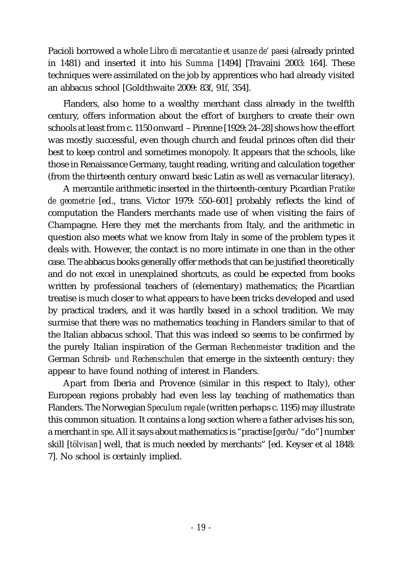Pacioli borrowed a whole *Libro di mercatantie et usanze de' paesi* (already printed in 1481) and inserted it into his *Summa* [1494] [Travaini 2003: 164]. These techniques were assimilated on the job by apprentices who had already visited an abbacus school [Goldthwaite 2009: 83*f*, 91*f*, 354].

Flanders, also home to a wealthy merchant class already in the twelfth century, offers information about the effort of burghers to create their own schools at least from c. 1150 onward – Pirenne [1929: 24–28] shows how the effort was mostly successful, even though church and feudal princes often did their best to keep control and sometimes monopoly. It appears that the schools, like those in Renaissance Germany, taught reading, writing and calculation together (from the thirteenth century onward basic Latin as well as vernacular literacy).

A mercantile arithmetic inserted in the thirteenth-century Picardian *Pratike de geometrie* [ed., trans. Victor 1979: 550–601] probably reflects the kind of computation the Flanders merchants made use of when visiting the fairs of Champagne. Here they met the merchants from Italy, and the arithmetic in question also meets what we know from Italy in some of the problem types it deals with. However, the contact is no more intimate in one than in the other case. The abbacus books generally offer methods that can be justified theoretically and do not excel in unexplained shortcuts, as could be expected from books written by professional teachers of (elementary) mathematics; the Picardian treatise is much closer to what appears to have been tricks developed and used by practical traders, and it was hardly based in a school tradition. We may surmise that there was no mathematics teaching in Flanders similar to that of the Italian abbacus school. That this was indeed so seems to be confirmed by the purely Italian inspiration of the German *Rechenmeister* tradition and the German *Schreib- und Rechenschulen* that emerge in the sixteenth century: they appear to have found nothing of interest in Flanders.

Apart from Iberia and Provence (similar in this respect to Italy), other European regions probably had even less lay teaching of mathematics than Flanders. The Norwegian *Speculum regale* (written perhaps c. 1195) may illustrate this common situation. It contains a long section where a father advises his son, a merchant *in spe*. All it says about mathematics is "practise [*gerðu*/"do"] number skill [*tölvisan*] well, that is much needed by merchants" [ed. Keyser et al 1848: 7]. No school is certainly implied.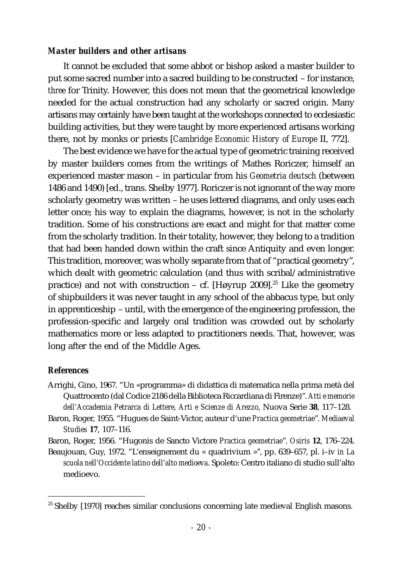#### *Master builders and other artisans*

It cannot be excluded that some abbot or bishop asked a master builder to put some sacred number into a sacred building to be constructed – for instance, *three* for Trinity. However, this does not mean that the geometrical knowledge needed for the actual construction had any scholarly or sacred origin. Many artisans may certainly have been taught at the workshops connected to ecclesiastic building activities, but they were taught by more experienced artisans working there, not by monks or priests [*Cambridge Economic History of Europe* II, 772].

The best evidence we have for the actual type of geometric training received by master builders comes from the writings of Mathes Roriczer, himself an experienced master mason – in particular from his *Geometria deutsch* (between 1486 and 1490) [ed., trans. Shelby 1977]. Roriczer is not ignorant of the way more scholarly geometry was written – he uses lettered diagrams, and only uses each letter once; his way to explain the diagrams, however, is not in the scholarly tradition. Some of his constructions are exact and might for that matter come from the scholarly tradition. In their totality, however, they belong to a tradition that had been handed down within the craft since Antiquity and even longer. This tradition, moreover, was wholly separate from that of "practical geometry", which dealt with geometric calculation (and thus with scribal/administrative practice) and not with construction – cf. [Høyrup 2009].<sup>25</sup> Like the geometry of shipbuilders it was never taught in any school of the abbacus type, but only in apprenticeship – until, with the emergence of the engineering profession, the profession-specific and largely oral tradition was crowded out by scholarly mathematics more or less adapted to practitioners needs. That, however, was long after the end of the Middle Ages.

#### *References*

- Arrighi, Gino, 1967. "Un «programma» di didattica di matematica nella prima metà del Quattrocento (dal Codice 2186 della Biblioteca Riccardiana di Firenze)". *Atti e memorie dell'Accademia Petrarca di Lettere, Arti e Scienze di Arezzo*, Nuova Serie **38**, 117–128.
- Baron, Roger, 1955. "Hugues de Saint-Victor, auteur d'une *Practica geometriae*". *Mediaeval Studies* **17**, 107–116.

Baron, Roger, 1956. "Hugonis de Sancto Victore *Practica geometriae*". *Osiris* **12**, 176–224.

Beaujouan, Guy, 1972. "L'enseignement du « quadrivium »", pp. 639–657, pl. i–iv *in La scuola nell'Occidente latino dell'alto medioeva*. Spoleto: Centro italiano di studio sull'alto medioevo.

 $25$  Shelby [1970] reaches similar conclusions concerning late medieval English masons.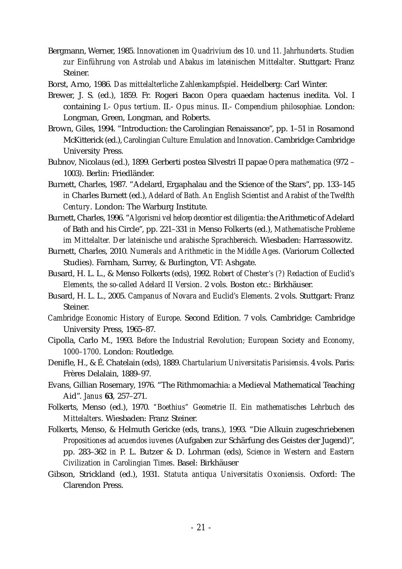- Bergmann, Werner, 1985. *Innovationen im Quadrivium des 10. und 11. Jahrhunderts. Studien zur Einführung von Astrolab und Abakus im lateinischen Mittelalter*. Stuttgart: Franz Steiner.
- Borst, Arno, 1986. *Das mittelalterliche Zahlenkampfspiel*. Heidelberg: Carl Winter.
- Brewer, J. S. (ed.), 1859. Fr. Rogeri Bacon *Opera* quaedam hactenus inedita. Vol. I containing I.- *Opus tertium*. II.- *Opus minus*. II.- *Compendium philosophiae*. London: Longman, Green, Longman, and Roberts.
- Brown, Giles, 1994. "Introduction: the Carolingian Renaissance", pp. 1–51 *in* Rosamond McKitterick (ed.), *Carolingian Culture: Emulation and Innovation*. Cambridge: Cambridge University Press.
- Bubnov, Nicolaus (ed.), 1899. Gerberti postea Silvestri II papae *Opera mathematica* (972 1003). Berlin: Friedländer.
- Burnett, Charles, 1987. "Adelard, Ergaphalau and the Science of the Stars", pp. 133–145 *in* Charles Burnett (ed.), *Adelard of Bath. An English Scientist and Arabist of the Twelfth Century*. London: The Warburg Institute.
- Burnett, Charles, 1996. "*Algorismi vel helcep decentior est diligentia*: the Arithmetic of Adelard of Bath and his Circle", pp. 221–331 *in* Menso Folkerts (ed.), *Mathematische Probleme im Mittelalter. Der lateinische und arabische Sprachbereich*. Wiesbaden: Harrassowitz.
- Burnett, Charles, 2010. *Numerals and Arithmetic in the Middle Ages*. (Variorum Collected Studies). Farnham, Surrey, & Burlington, VT: Ashgate.
- Busard, H. L. L., & Menso Folkerts (eds), 1992. *Robert of Chester's (?) Redaction of Euclid's Elements, the so-called Adelard II Version*. 2 vols. Boston etc.: Birkhäuser.
- Busard, H. L. L., 2005. *Campanus of Novara and Euclid's Elements*. 2 vols. Stuttgart: Franz Steiner.
- *Cambridge Economic History of Europe*. Second Edition. 7 vols. Cambridge: Cambridge University Press, 1965–87.
- Cipolla, Carlo M., 1993. *Before the Industrial Revolution; European Society and Economy, 1000–1700*. London: Routledge.
- Denifle, H., & É. Chatelain (eds), 1889. *Chartularium Universitatis Parisiensis*. 4 vols. Paris: Frères Delalain, 1889–97.
- Evans, Gillian Rosemary, 1976. "The Rithmomachia: a Medieval Mathematical Teaching Aid". *Janus* **63**, 257–271.
- Folkerts, Menso (ed.), 1970. *"Boethius" Geometrie II. Ein mathematisches Lehrbuch des Mittelalters*. Wiesbaden: Franz Steiner.
- Folkerts, Menso, & Helmuth Gericke (eds, trans.), 1993. "Die Alkuin zugeschriebenen *Propositiones ad acuendos iuvenes* (Aufgaben zur Schärfung des Geistes der Jugend)", pp. 283–362 *in* P. L. Butzer & D. Lohrman (eds), *Science in Western and Eastern Civilization in Carolingian Times*. Basel: Birkhäuser
- Gibson, Strickland (ed.), 1931. *Statuta antiqua Universitatis Oxoniensis*. Oxford: The Clarendon Press.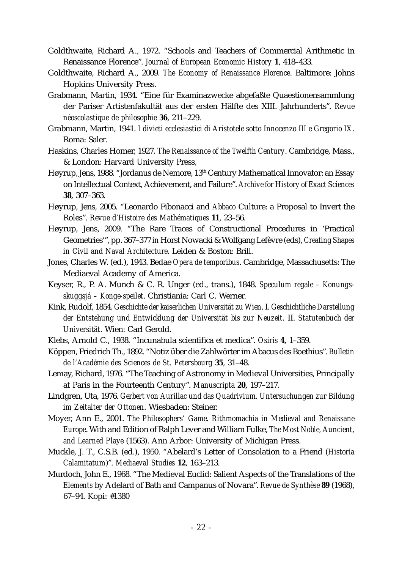- Goldthwaite, Richard A., 1972. "Schools and Teachers of Commercial Arithmetic in Renaissance Florence". *Journal of European Economic History* **1**, 418–433.
- Goldthwaite, Richard A., 2009. *The Economy of Renaissance Florence*. Baltimore: Johns Hopkins University Press.
- Grabmann, Martin, 1934. "Eine für Examinazwecke abgefaßte Quaestionensammlung der Pariser Artistenfakultät aus der ersten Hälfte des XIII. Jahrhunderts". *Revue néoscolastique de philosophie* **36**, 211–229.
- Grabmann, Martin, 1941. *I divieti ecclesiastici di Aristotele sotto Innocenzo III e Gregorio IX*. Roma: Saler.
- Haskins, Charles Homer, 1927. *The Renaissance of the Twelfth Century*. Cambridge, Mass., & London: Harvard University Press,
- Høyrup, Jens, 1988. "Jordanus de Nemore, 13<sup>th</sup> Century Mathematical Innovator: an Essay on Intellectual Context, Achievement, and Failure". *Archive for History of Exact Sciences* **38**, 307–363.
- Høyrup, Jens, 2005. "Leonardo Fibonacci and *Abbaco* Culture: a Proposal to Invert the Roles". *Revue d'Histoire des Mathématiques* **11**, 23–56.
- Høyrup, Jens, 2009. "The Rare Traces of Constructional Procedures in 'Practical Geometries'", pp. 367–377 *in* Horst Nowacki & Wolfgang Lefèvre (eds), *Creating Shapes in Civil and Naval Architecture*. Leiden & Boston: Brill.
- Jones, Charles W. (ed.), 1943. Bedae *Opera de temporibus*. Cambridge, Massachusetts: The Mediaeval Academy of America.
- Keyser, R., P. A. Munch & C. R. Unger (ed., trans.), 1848. *Speculum regale Konungsskuggsjá – Konge-speilet*. Christiania: Carl C. Werner.
- Kink, Rudolf, 1854. *Geschichte der kaiserlichen Universität zu Wien*. I. *Geschichtliche Darstellung der Entstehung und Entwicklung der Universität bis zur Neuzeit*. II. *Statutenbuch der Universität*. Wien: Carl Gerold.
- Klebs, Arnold C., 1938. "Incunabula scientifica et medica". *Osiris* **4**, 1–359.
- Köppen, Friedrich Th., 1892. "Notiz über die Zahlwörter im Abacus des Boethius". *Bulletin de l'Académie des Sciences de St. Petersbourg* **35**, 31–48.
- Lemay, Richard, 1976. "The Teaching of Astronomy in Medieval Universities, Principally at Paris in the Fourteenth Century". *Manuscripta* **20**, 197–217.
- Lindgren, Uta, 1976. *Gerbert von Aurillac und das Quadrivium. Untersuchungen zur Bildung im Zeitalter der Ottonen*. Wiesbaden: Steiner.
- Moyer, Ann E., 2001. *The Philosophers' Game. Rithmomachia in Medieval and Renaissane Europe*. With and Edition of Ralph Lever and William Fulke, *The Most Noble, Auncient, and Learned Playe* (1563). Ann Arbor: University of Michigan Press.
- Muckle, J. T., C.S.B. (ed.), 1950. "Abelard's Letter of Consolation to a Friend (*Historia Calamitatum*)". *Mediaeval Studies* **12**, 163–213.
- Murdoch, John E., 1968. "The Medieval Euclid: Salient Aspects of the Translations of the *Elements* by Adelard of Bath and Campanus of Novara". *Revue de Synthèse* **89** (1968), 67–94. Kopi: #1380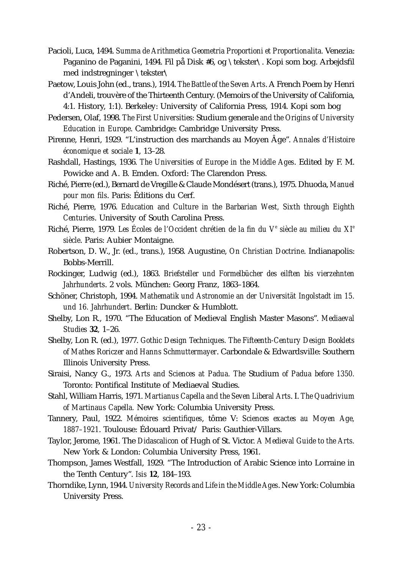- Pacioli, Luca, 1494. *Summa de Arithmetica Geometria Proportioni et Proportionalita.* Venezia: Paganino de Paganini, 1494. Fil på Disk #6, og \tekster\. Kopi som bog. Arbejdsfil med indstregninger \tekster\
- Paetow, Louis John (ed., trans.), 1914. *The Battle of the Seven Arts*. A French Poem by Henri d'Andeli, trouvère of the Thirteenth Century. (Memoirs of the University of California, 4:1. History, 1:1). Berkeley: University of California Press, 1914. Kopi som bog
- Pedersen, Olaf, 1998. *The First Universities:* Studium generale *and the Origins of University Education in Europe*. Cambridge: Cambridge University Press.
- Pirenne, Henri, 1929. "L'instruction des marchands au Moyen Âge". *Annales d'Histoire économique et sociale* **1**, 13–28.
- Rashdall, Hastings, 1936. *The Universities of Europe in the Middle Ages*. Edited by F. M. Powicke and A. B. Emden. Oxford: The Clarendon Press.
- Riché, Pierre (ed.), Bernard de Vregille & Claude Mondésert (trans.), 1975. Dhuoda, *Manuel pour mon fils*. Paris: Éditions du Cerf.
- Riché, Pierre, 1976. *Education and Culture in the Barbarian West, Sixth through Eighth Centuries*. University of South Carolina Press.
- Riché, Pierre, 1979. *Les Écoles de l'Occident chrétien de la fin du V<sup>e</sup> siècle au milieu du XI<sup>e</sup> siècle*. Paris: Aubier Montaigne.
- Robertson, D. W., Jr. (ed., trans.), 1958. Augustine, *On Christian Doctrine*. Indianapolis: Bobbs-Merrill.
- Rockinger, Ludwig (ed.), 1863. *Briefsteller und Formelbücher des eilften bis vierzehnten Jahrhunderts*. 2 vols. München: Georg Franz, 1863–1864.
- Schöner, Christoph, 1994. *Mathematik und Astronomie an der Universität Ingolstadt im 15. und 16. Jahrhundert*. Berlin: Duncker & Humblott.
- Shelby, Lon R., 1970. "The Education of Medieval English Master Masons". *Mediaeval Studies* **32**, 1–26.
- Shelby, Lon R. (ed.), 1977. *Gothic Design Techniques. The Fifteenth-Century Design Booklets of Mathes Roriczer and Hanns Schmuttermayer*. Carbondale & Edwardsville: Southern Illinois University Press.
- Siraisi, Nancy G., 1973. *Arts and Sciences at Padua. The* Studium *of Padua before 1350.* Toronto: Pontifical Institute of Mediaeval Studies.
- Stahl, William Harris, 1971. *Martianus Capella and the Seven Liberal Arts*. I. *The Quadrivium of Martinaus Capella.* New York: Columbia University Press.
- Tannery, Paul, 1922. *Mémoires scientifiques*, tôme V: *Sciences exactes au Moyen Age, 1887–1921*. Toulouse: Édouard Privat/ Paris: Gauthier-Villars.
- Taylor, Jerome, 1961. The *Didascalicon* of Hugh of St. Victor. *A Medieval Guide to the Arts.* New York & London: Columbia University Press, 1961.
- Thompson, James Westfall, 1929. "The Introduction of Arabic Science into Lorraine in the Tenth Century". *Isis* **12**, 184–193.
- Thorndike, Lynn, 1944. *University Records and Life in the Middle Ages*. New York: Columbia University Press.